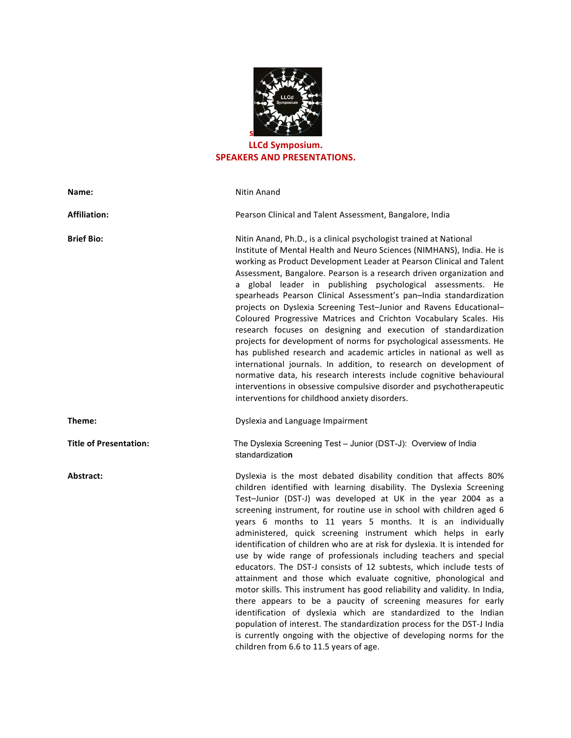

## **LLCd Symposium.** SPEAKERS AND PRESENTATIONS.

| Name:                         | Nitin Anand                                                                                                                                                                                                                                                                                                                                                                                                                                                                                                                                                                                                                                                                                                                                                                                                                                                                                                                                                                                                                                                                                                                      |
|-------------------------------|----------------------------------------------------------------------------------------------------------------------------------------------------------------------------------------------------------------------------------------------------------------------------------------------------------------------------------------------------------------------------------------------------------------------------------------------------------------------------------------------------------------------------------------------------------------------------------------------------------------------------------------------------------------------------------------------------------------------------------------------------------------------------------------------------------------------------------------------------------------------------------------------------------------------------------------------------------------------------------------------------------------------------------------------------------------------------------------------------------------------------------|
| <b>Affiliation:</b>           | Pearson Clinical and Talent Assessment, Bangalore, India                                                                                                                                                                                                                                                                                                                                                                                                                                                                                                                                                                                                                                                                                                                                                                                                                                                                                                                                                                                                                                                                         |
| <b>Brief Bio:</b>             | Nitin Anand, Ph.D., is a clinical psychologist trained at National<br>Institute of Mental Health and Neuro Sciences (NIMHANS), India. He is<br>working as Product Development Leader at Pearson Clinical and Talent<br>Assessment, Bangalore. Pearson is a research driven organization and<br>a global leader in publishing psychological assessments. He<br>spearheads Pearson Clinical Assessment's pan-India standardization<br>projects on Dyslexia Screening Test-Junior and Ravens Educational-<br>Coloured Progressive Matrices and Crichton Vocabulary Scales. His<br>research focuses on designing and execution of standardization<br>projects for development of norms for psychological assessments. He<br>has published research and academic articles in national as well as<br>international journals. In addition, to research on development of<br>normative data, his research interests include cognitive behavioural<br>interventions in obsessive compulsive disorder and psychotherapeutic<br>interventions for childhood anxiety disorders.                                                              |
| Theme:                        | Dyslexia and Language Impairment                                                                                                                                                                                                                                                                                                                                                                                                                                                                                                                                                                                                                                                                                                                                                                                                                                                                                                                                                                                                                                                                                                 |
| <b>Title of Presentation:</b> | The Dyslexia Screening Test - Junior (DST-J): Overview of India<br>standardization                                                                                                                                                                                                                                                                                                                                                                                                                                                                                                                                                                                                                                                                                                                                                                                                                                                                                                                                                                                                                                               |
| Abstract:                     | Dyslexia is the most debated disability condition that affects 80%<br>children identified with learning disability. The Dyslexia Screening<br>Test-Junior (DST-J) was developed at UK in the year 2004 as a<br>screening instrument, for routine use in school with children aged 6<br>years 6 months to 11 years 5 months. It is an individually<br>administered, quick screening instrument which helps in early<br>identification of children who are at risk for dyslexia. It is intended for<br>use by wide range of professionals including teachers and special<br>educators. The DST-J consists of 12 subtests, which include tests of<br>attainment and those which evaluate cognitive, phonological and<br>motor skills. This instrument has good reliability and validity. In India,<br>there appears to be a paucity of screening measures for early<br>identification of dyslexia which are standardized to the Indian<br>population of interest. The standardization process for the DST-J India<br>is currently ongoing with the objective of developing norms for the<br>children from 6.6 to 11.5 years of age. |